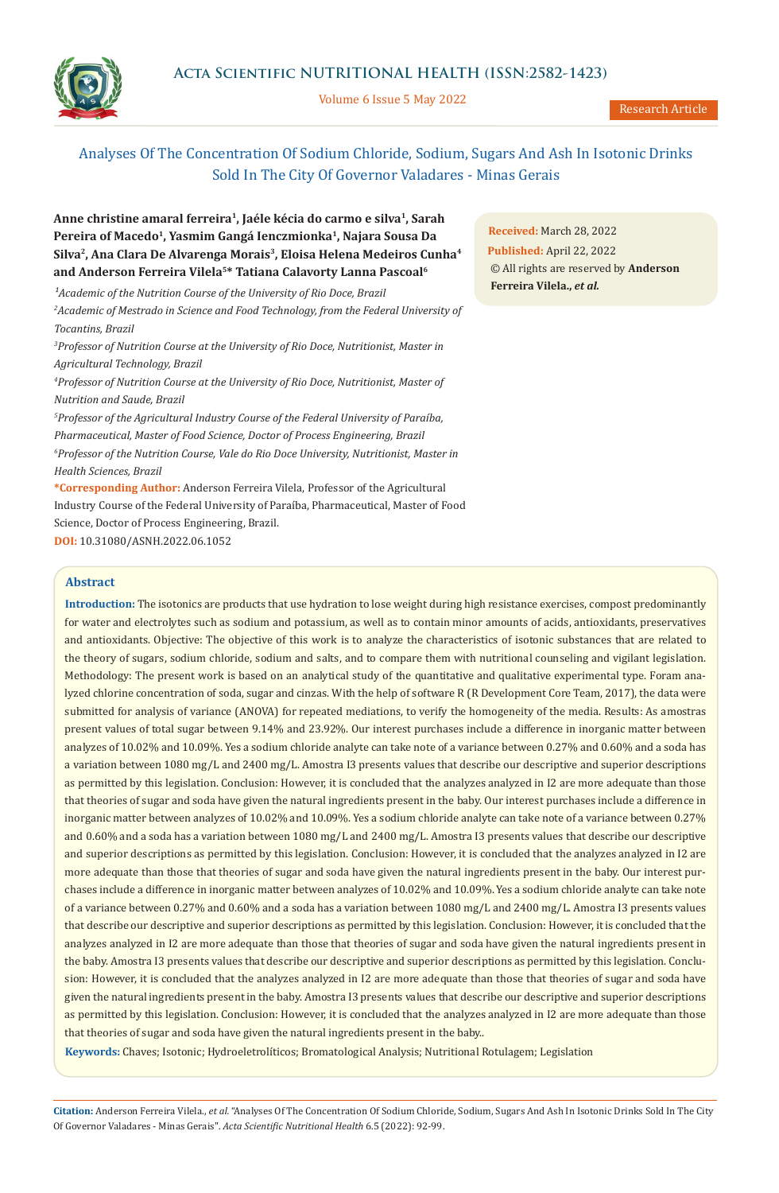# **Acta Scientific NUTRITIONAL HEALTH (ISSN:2582-1423)**

Volume 6 Issue 5 May 2022

Research Article

# Analyses Of The Concentration Of Sodium Chloride, Sodium, Sugars And Ash In Isotonic Drinks Sold In The City Of Governor Valadares - Minas Gerais

**Anne christine amaral ferreira1, Jaéle kécia do carmo e silva1, Sarah Pereira of Macedo1, Yasmim Gangá Ienczmionka1, Najara Sousa Da Silva2, Ana Clara De Alvarenga Morais3, Eloisa Helena Medeiros Cunha4 and Anderson Ferreira Vilela5\* Tatiana Calavorty Lanna Pascoal6**

<sup>1</sup> Academic of the Nutrition Course of the University of Rio Doce, Brazil *2 Academic of Mestrado in Science and Food Technology, from the Federal University of Tocantins, Brazil*

*3 Professor of Nutrition Course at the University of Rio Doce, Nutritionist, Master in Agricultural Technology, Brazil*

*4 Professor of Nutrition Course at the University of Rio Doce, Nutritionist, Master of Nutrition and Saude, Brazil*

*5 Professor of the Agricultural Industry Course of the Federal University of Paraíba, Pharmaceutical, Master of Food Science, Doctor of Process Engineering, Brazil 6 Professor of the Nutrition Course, Vale do Rio Doce University, Nutritionist, Master in Health Sciences, Brazil*

**\*Corresponding Author:** Anderson Ferreira Vilela, Professor of the Agricultural Industry Course of the Federal University of Paraíba, Pharmaceutical, Master of Food Science, Doctor of Process Engineering, Brazil. **DOI:** [10.31080/ASNH.2022.06.1052](https://www.actascientific.com/ASNH/pdf/ASNH-06-1052.pdf)

# **Abstract**

**Introduction:** The isotonics are products that use hydration to lose weight during high resistance exercises, compost predominantly for water and electrolytes such as sodium and potassium, as well as to contain minor amounts of acids, antioxidants, preservatives and antioxidants. Objective: The objective of this work is to analyze the characteristics of isotonic substances that are related to the theory of sugars, sodium chloride, sodium and salts, and to compare them with nutritional counseling and vigilant legislation. Methodology: The present work is based on an analytical study of the quantitative and qualitative experimental type. Foram analyzed chlorine concentration of soda, sugar and cinzas. With the help of software R (R Development Core Team, 2017), the data were submitted for analysis of variance (ANOVA) for repeated mediations, to verify the homogeneity of the media. Results: As amostras present values of total sugar between 9.14% and 23.92%. Our interest purchases include a difference in inorganic matter between analyzes of 10.02% and 10.09%. Yes a sodium chloride analyte can take note of a variance between 0.27% and 0.60% and a soda has a variation between 1080 mg/L and 2400 mg/L. Amostra I3 presents values that describe our descriptive and superior descriptions as permitted by this legislation. Conclusion: However, it is concluded that the analyzes analyzed in I2 are more adequate than those that theories of sugar and soda have given the natural ingredients present in the baby. Our interest purchases include a difference in inorganic matter between analyzes of 10.02% and 10.09%. Yes a sodium chloride analyte can take note of a variance between 0.27% and 0.60% and a soda has a variation between 1080 mg/L and 2400 mg/L. Amostra I3 presents values that describe our descriptive and superior descriptions as permitted by this legislation. Conclusion: However, it is concluded that the analyzes analyzed in I2 are more adequate than those that theories of sugar and soda have given the natural ingredients present in the baby. Our interest purchases include a difference in inorganic matter between analyzes of 10.02% and 10.09%. Yes a sodium chloride analyte can take note of a variance between 0.27% and 0.60% and a soda has a variation between 1080 mg/L and 2400 mg/L. Amostra I3 presents values that describe our descriptive and superior descriptions as permitted by this legislation. Conclusion: However, it is concluded that the analyzes analyzed in I2 are more adequate than those that theories of sugar and soda have given the natural ingredients present in the baby. Amostra I3 presents values that describe our descriptive and superior descriptions as permitted by this legislation. Conclusion: However, it is concluded that the analyzes analyzed in I2 are more adequate than those that theories of sugar and soda have given the natural ingredients present in the baby. Amostra I3 presents values that describe our descriptive and superior descriptions as permitted by this legislation. Conclusion: However, it is concluded that the analyzes analyzed in I2 are more adequate than those that theories of sugar and soda have given the natural ingredients present in the baby..

**Keywords:** Chaves; Isotonic; Hydroeletrolíticos; Bromatological Analysis; Nutritional Rotulagem; Legislation

**Citation:** Anderson Ferreira Vilela., *et al.* "Analyses Of The Concentration Of Sodium Chloride, Sodium, Sugars And Ash In Isotonic Drinks Sold In The City Of Governor Valadares - Minas Gerais". *Acta Scientific Nutritional Health* 6.5 (2022): 92-99.

**Received:** March 28, 2022 **Published:** April 22, 2022 © All rights are reserved by **Anderson Ferreira Vilela.,** *et al.*

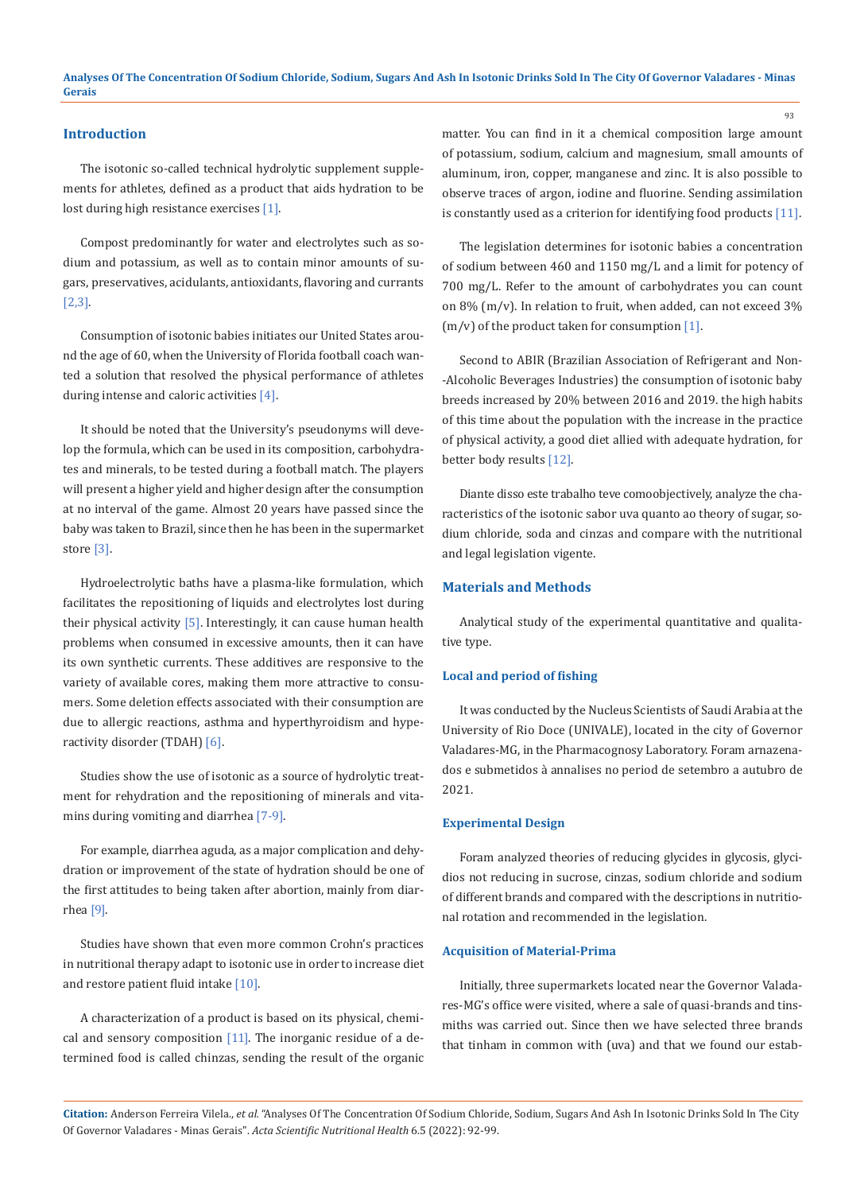#### **Introduction**

The isotonic so-called technical hydrolytic supplement supplements for athletes, defined as a product that aids hydration to be lost during high resistance exercises [1].

Compost predominantly for water and electrolytes such as sodium and potassium, as well as to contain minor amounts of sugars, preservatives, acidulants, antioxidants, flavoring and currants [2,3].

Consumption of isotonic babies initiates our United States around the age of 60, when the University of Florida football coach wanted a solution that resolved the physical performance of athletes during intense and caloric activities [4].

It should be noted that the University's pseudonyms will develop the formula, which can be used in its composition, carbohydrates and minerals, to be tested during a football match. The players will present a higher yield and higher design after the consumption at no interval of the game. Almost 20 years have passed since the baby was taken to Brazil, since then he has been in the supermarket store [3].

Hydroelectrolytic baths have a plasma-like formulation, which facilitates the repositioning of liquids and electrolytes lost during their physical activity  $[5]$ . Interestingly, it can cause human health problems when consumed in excessive amounts, then it can have its own synthetic currents. These additives are responsive to the variety of available cores, making them more attractive to consumers. Some deletion effects associated with their consumption are due to allergic reactions, asthma and hyperthyroidism and hyperactivity disorder (TDAH) [6].

Studies show the use of isotonic as a source of hydrolytic treatment for rehydration and the repositioning of minerals and vitamins during vomiting and diarrhea [7-9].

For example, diarrhea aguda, as a major complication and dehydration or improvement of the state of hydration should be one of the first attitudes to being taken after abortion, mainly from diarrhea [9].

Studies have shown that even more common Crohn's practices in nutritional therapy adapt to isotonic use in order to increase diet and restore patient fluid intake [10].

A characterization of a product is based on its physical, chemical and sensory composition  $[11]$ . The inorganic residue of a determined food is called chinzas, sending the result of the organic matter. You can find in it a chemical composition large amount of potassium, sodium, calcium and magnesium, small amounts of aluminum, iron, copper, manganese and zinc. It is also possible to observe traces of argon, iodine and fluorine. Sending assimilation is constantly used as a criterion for identifying food products [11].

The legislation determines for isotonic babies a concentration of sodium between 460 and 1150 mg/L and a limit for potency of 700 mg/L. Refer to the amount of carbohydrates you can count on 8% (m/v). In relation to fruit, when added, can not exceed 3% (m/v) of the product taken for consumption [1].

Second to ABIR (Brazilian Association of Refrigerant and Non- -Alcoholic Beverages Industries) the consumption of isotonic baby breeds increased by 20% between 2016 and 2019. the high habits of this time about the population with the increase in the practice of physical activity, a good diet allied with adequate hydration, for better body results [12].

Diante disso este trabalho teve comoobjectively, analyze the characteristics of the isotonic sabor uva quanto ao theory of sugar, sodium chloride, soda and cinzas and compare with the nutritional and legal legislation vigente.

## **Materials and Methods**

Analytical study of the experimental quantitative and qualitative type.

### **Local and period of fishing**

It was conducted by the Nucleus Scientists of Saudi Arabia at the University of Rio Doce (UNIVALE), located in the city of Governor Valadares-MG, in the Pharmacognosy Laboratory. Foram arnazenados e submetidos à annalises no period de setembro a autubro de 2021.

#### **Experimental Design**

Foram analyzed theories of reducing glycides in glycosis, glycidios not reducing in sucrose, cinzas, sodium chloride and sodium of different brands and compared with the descriptions in nutritional rotation and recommended in the legislation.

# **Acquisition of Material-Prima**

Initially, three supermarkets located near the Governor Valadares-MG's office were visited, where a sale of quasi-brands and tinsmiths was carried out. Since then we have selected three brands that tinham in common with (uva) and that we found our estab-

**Citation:** Anderson Ferreira Vilela., *et al.* "Analyses Of The Concentration Of Sodium Chloride, Sodium, Sugars And Ash In Isotonic Drinks Sold In The City Of Governor Valadares - Minas Gerais". *Acta Scientific Nutritional Health* 6.5 (2022): 92-99.

93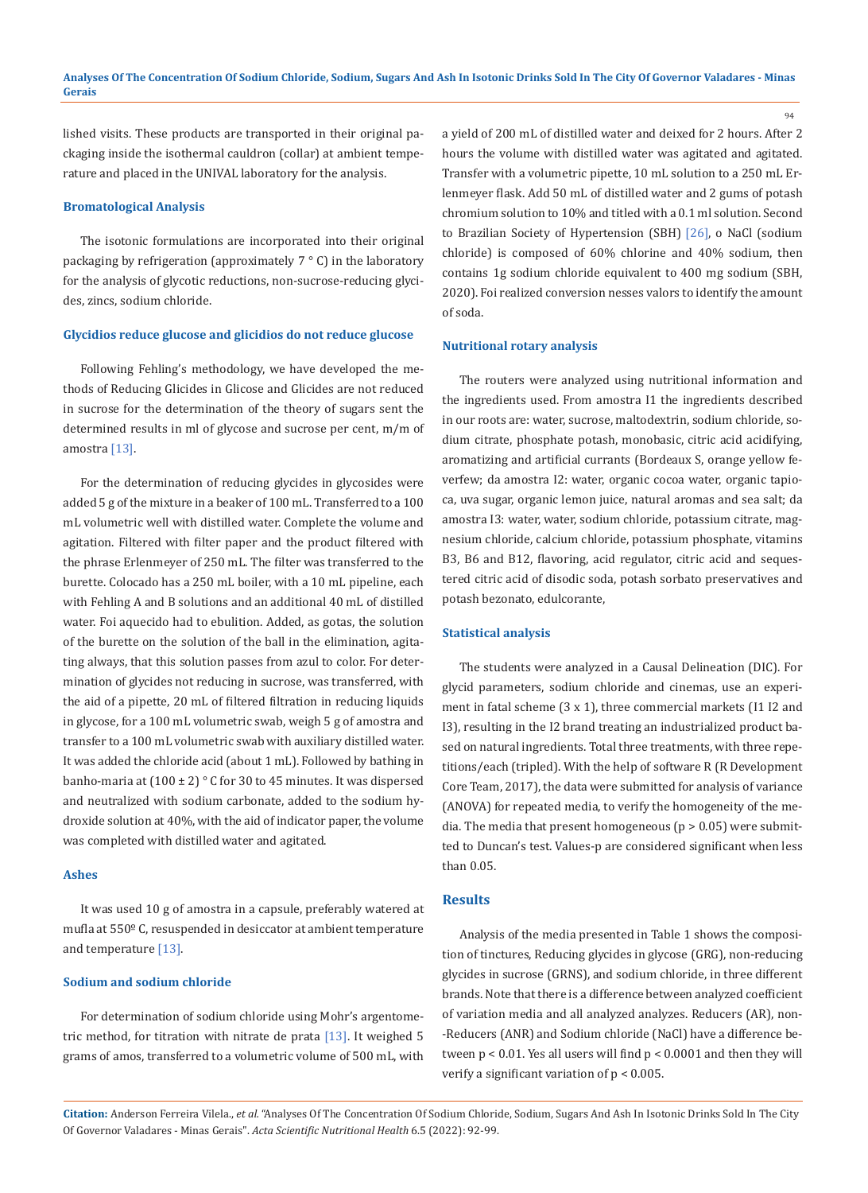lished visits. These products are transported in their original packaging inside the isothermal cauldron (collar) at ambient temperature and placed in the UNIVAL laboratory for the analysis.

# **Bromatological Analysis**

The isotonic formulations are incorporated into their original packaging by refrigeration (approximately 7 ° C) in the laboratory for the analysis of glycotic reductions, non-sucrose-reducing glycides, zincs, sodium chloride.

# **Glycidios reduce glucose and glicidios do not reduce glucose**

Following Fehling's methodology, we have developed the methods of Reducing Glicides in Glicose and Glicides are not reduced in sucrose for the determination of the theory of sugars sent the determined results in ml of glycose and sucrose per cent, m/m of amostra [13].

For the determination of reducing glycides in glycosides were added 5 g of the mixture in a beaker of 100 mL. Transferred to a 100 mL volumetric well with distilled water. Complete the volume and agitation. Filtered with filter paper and the product filtered with the phrase Erlenmeyer of 250 mL. The filter was transferred to the burette. Colocado has a 250 mL boiler, with a 10 mL pipeline, each with Fehling A and B solutions and an additional 40 mL of distilled water. Foi aquecido had to ebulition. Added, as gotas, the solution of the burette on the solution of the ball in the elimination, agitating always, that this solution passes from azul to color. For determination of glycides not reducing in sucrose, was transferred, with the aid of a pipette, 20 mL of filtered filtration in reducing liquids in glycose, for a 100 mL volumetric swab, weigh 5 g of amostra and transfer to a 100 mL volumetric swab with auxiliary distilled water. It was added the chloride acid (about 1 mL). Followed by bathing in banho-maria at  $(100 \pm 2)$  ° C for 30 to 45 minutes. It was dispersed and neutralized with sodium carbonate, added to the sodium hydroxide solution at 40%, with the aid of indicator paper, the volume was completed with distilled water and agitated.

# **Ashes**

It was used 10 g of amostra in a capsule, preferably watered at mufla at 550º C, resuspended in desiccator at ambient temperature and temperature [13].

# **Sodium and sodium chloride**

For determination of sodium chloride using Mohr's argentometric method, for titration with nitrate de prata  $[13]$ . It weighed 5 grams of amos, transferred to a volumetric volume of 500 mL, with a yield of 200 mL of distilled water and deixed for 2 hours. After 2 hours the volume with distilled water was agitated and agitated. Transfer with a volumetric pipette, 10 mL solution to a 250 mL Erlenmeyer flask. Add 50 mL of distilled water and 2 gums of potash chromium solution to 10% and titled with a 0.1 ml solution. Second to Brazilian Society of Hypertension (SBH) [26], o NaCl (sodium chloride) is composed of 60% chlorine and 40% sodium, then contains 1g sodium chloride equivalent to 400 mg sodium (SBH, 2020). Foi realized conversion nesses valors to identify the amount of soda.

94

#### **Nutritional rotary analysis**

The routers were analyzed using nutritional information and the ingredients used. From amostra I1 the ingredients described in our roots are: water, sucrose, maltodextrin, sodium chloride, sodium citrate, phosphate potash, monobasic, citric acid acidifying, aromatizing and artificial currants (Bordeaux S, orange yellow feverfew; da amostra I2: water, organic cocoa water, organic tapioca, uva sugar, organic lemon juice, natural aromas and sea salt; da amostra I3: water, water, sodium chloride, potassium citrate, magnesium chloride, calcium chloride, potassium phosphate, vitamins B3, B6 and B12, flavoring, acid regulator, citric acid and sequestered citric acid of disodic soda, potash sorbato preservatives and potash bezonato, edulcorante,

# **Statistical analysis**

The students were analyzed in a Causal Delineation (DIC). For glycid parameters, sodium chloride and cinemas, use an experiment in fatal scheme (3 x 1), three commercial markets (I1 I2 and I3), resulting in the I2 brand treating an industrialized product based on natural ingredients. Total three treatments, with three repetitions/each (tripled). With the help of software R (R Development Core Team, 2017), the data were submitted for analysis of variance (ANOVA) for repeated media, to verify the homogeneity of the media. The media that present homogeneous ( $p > 0.05$ ) were submitted to Duncan's test. Values-p are considered significant when less than 0.05.

# **Results**

Analysis of the media presented in Table 1 shows the composition of tinctures, Reducing glycides in glycose (GRG), non-reducing glycides in sucrose (GRNS), and sodium chloride, in three different brands. Note that there is a difference between analyzed coefficient of variation media and all analyzed analyzes. Reducers (AR), non- -Reducers (ANR) and Sodium chloride (NaCl) have a difference between  $p < 0.01$ . Yes all users will find  $p < 0.0001$  and then they will verify a significant variation of p < 0.005.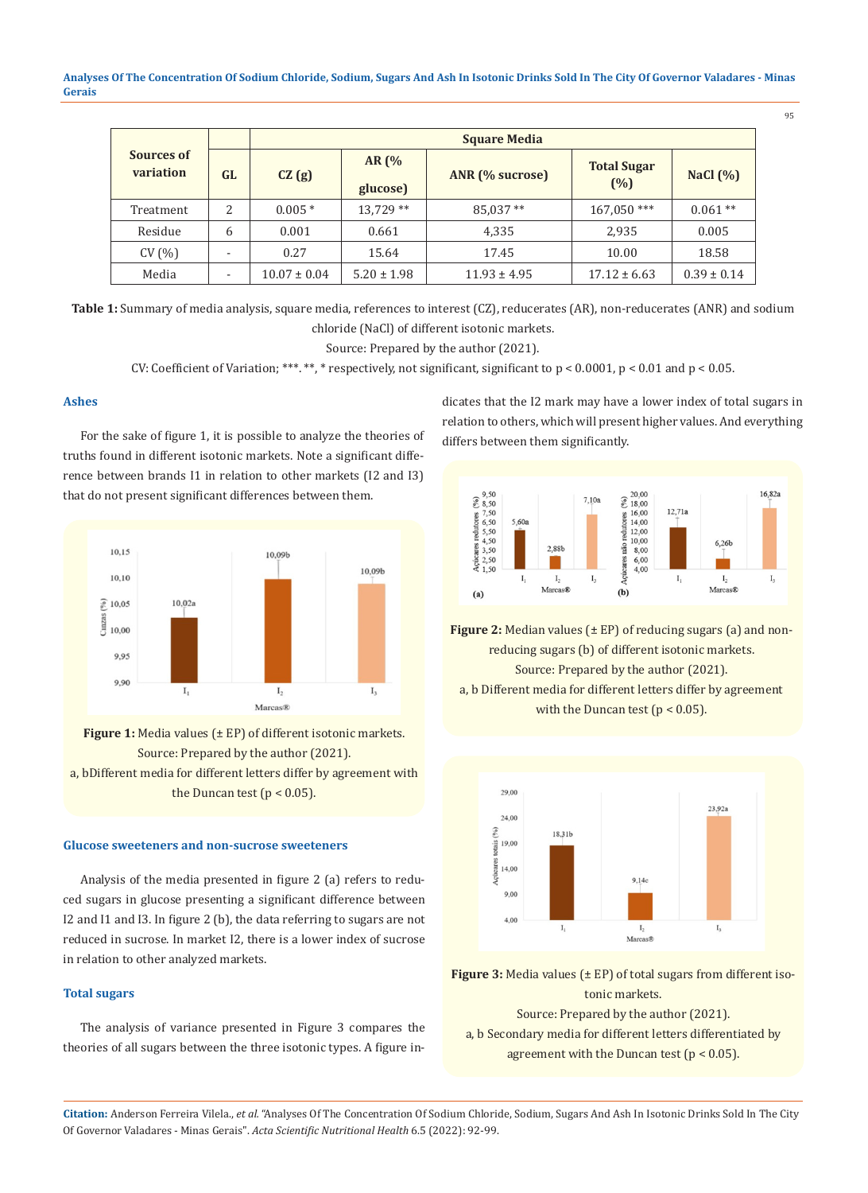**Analyses Of The Concentration Of Sodium Chloride, Sodium, Sugars And Ash In Isotonic Drinks Sold In The City Of Governor Valadares - Minas Gerais**

| I<br>I<br>۰. | ×<br>۰. |
|--------------|---------|
|              |         |

|                         |    | <b>Square Media</b> |                     |                  |                           |                 |
|-------------------------|----|---------------------|---------------------|------------------|---------------------------|-----------------|
| Sources of<br>variation | GL | CZ(g)               | AR $(%$<br>glucose) | ANR (% sucrose)  | <b>Total Sugar</b><br>(%) | NaCl $(% )$     |
| Treatment               | 2  | $0.005*$            | $13.729**$          | 85,037**         | $167.050***$              | $0.061**$       |
| Residue                 | 6  | 0.001               | 0.661               | 4,335            | 2,935                     | 0.005           |
| CV(%)                   |    | 0.27                | 15.64               | 17.45            | 10.00                     | 18.58           |
| Media                   |    | $10.07 \pm 0.04$    | $5.20 \pm 1.98$     | $11.93 \pm 4.95$ | $17.12 \pm 6.63$          | $0.39 \pm 0.14$ |

Table 1: Summary of media analysis, square media, references to interest (CZ), reducerates (AR), non-reducerates (ANR) and sodium chloride (NaCl) of different isotonic markets.

Source: Prepared by the author (2021).

CV: Coefficient of Variation; \*\*\*. \*\*, \* respectively, not significant, significant to  $p < 0.0001$ ,  $p < 0.01$  and  $p < 0.05$ .

# **Ashes**

For the sake of figure 1, it is possible to analyze the theories of truths found in different isotonic markets. Note a significant difference between brands I1 in relation to other markets (I2 and I3) that do not present significant differences between them.



Figure 1: Media values ( $\pm$  EP) of different isotonic markets. Source: Prepared by the author (2021). a, bDifferent media for different letters differ by agreement with the Duncan test  $(p < 0.05)$ .

## **Glucose sweeteners and non-sucrose sweeteners**

Analysis of the media presented in figure 2 (a) refers to reduced sugars in glucose presenting a significant difference between I2 and I1 and I3. In figure 2 (b), the data referring to sugars are not reduced in sucrose. In market I2, there is a lower index of sucrose in relation to other analyzed markets.

# **Total sugars**

The analysis of variance presented in Figure 3 compares the theories of all sugars between the three isotonic types. A figure indicates that the I2 mark may have a lower index of total sugars in relation to others, which will present higher values. And everything differs between them significantly.



**Figure 2:** Median values (± EP) of reducing sugars (a) and nonreducing sugars (b) of different isotonic markets. Source: Prepared by the author (2021). a, b Different media for different letters differ by agreement with the Duncan test  $(p < 0.05)$ .



**Figure 3:** Media values (± EP) of total sugars from different isotonic markets.

Source: Prepared by the author (2021).

a, b Secondary media for different letters differentiated by agreement with the Duncan test  $(p < 0.05)$ .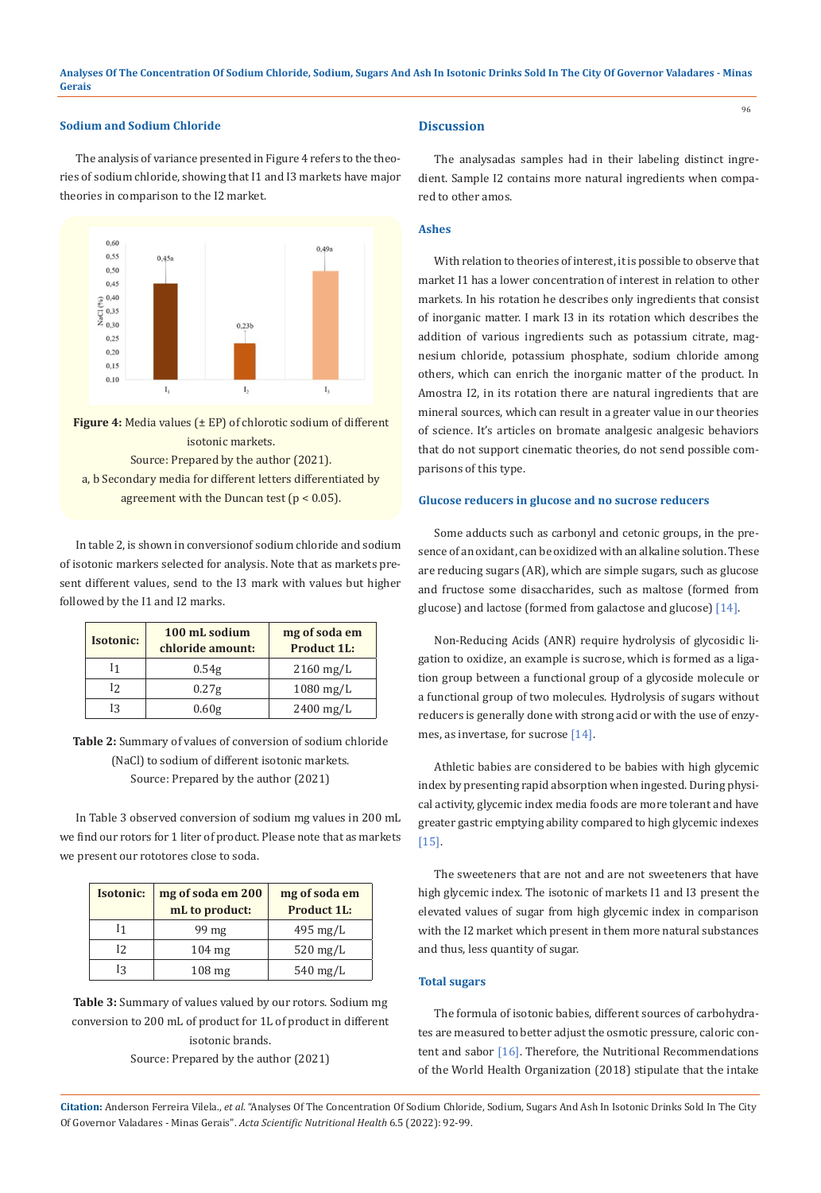# **Sodium and Sodium Chloride**

The analysis of variance presented in Figure 4 refers to the theories of sodium chloride, showing that I1 and I3 markets have major theories in comparison to the I2 market.



**Figure 4:** Media values (± EP) of chlorotic sodium of different isotonic markets. Source: Prepared by the author (2021). a, b Secondary media for different letters differentiated by agreement with the Duncan test ( $p < 0.05$ ).

In table 2, is shown in conversionof sodium chloride and sodium of isotonic markers selected for analysis. Note that as markets present different values, send to the I3 mark with values but higher followed by the I1 and I2 marks.

| <b>Isotonic:</b> | 100 mL sodium<br>chloride amount: | mg of soda em<br><b>Product 1L:</b> |
|------------------|-----------------------------------|-------------------------------------|
| 11               | 0.54g                             | $2160$ mg/L                         |
| 12               | 0.27g                             | $1080$ mg/L                         |
| Iз               | 0.60g                             | $2400$ mg/L                         |

**Table 2:** Summary of values of conversion of sodium chloride (NaCl) to sodium of different isotonic markets. Source: Prepared by the author (2021)

In Table 3 observed conversion of sodium mg values in 200 mL we find our rotors for 1 liter of product. Please note that as markets we present our rototores close to soda.

| <b>Isotonic:</b> | mg of soda em 200<br>mL to product: | mg of soda em<br><b>Product 1L:</b> |
|------------------|-------------------------------------|-------------------------------------|
| Ī1               | 99 mg                               | $495 \text{ mg/L}$                  |
| $12 \,$          | $104 \text{ mg}$                    | $520$ mg/L                          |
| 13               | $108 \,\mathrm{mg}$                 | $540 \,\mathrm{mg/L}$               |

**Table 3:** Summary of values valued by our rotors. Sodium mg conversion to 200 mL of product for 1L of product in different isotonic brands. Source: Prepared by the author (2021)

# **Discussion**

The analysadas samples had in their labeling distinct ingredient. Sample I2 contains more natural ingredients when compared to other amos.

96

# **Ashes**

With relation to theories of interest, it is possible to observe that market I1 has a lower concentration of interest in relation to other markets. In his rotation he describes only ingredients that consist of inorganic matter. I mark I3 in its rotation which describes the addition of various ingredients such as potassium citrate, magnesium chloride, potassium phosphate, sodium chloride among others, which can enrich the inorganic matter of the product. In Amostra I2, in its rotation there are natural ingredients that are mineral sources, which can result in a greater value in our theories of science. It's articles on bromate analgesic analgesic behaviors that do not support cinematic theories, do not send possible comparisons of this type.

# **Glucose reducers in glucose and no sucrose reducers**

Some adducts such as carbonyl and cetonic groups, in the presence of an oxidant, can be oxidized with an alkaline solution. These are reducing sugars (AR), which are simple sugars, such as glucose and fructose some disaccharides, such as maltose (formed from glucose) and lactose (formed from galactose and glucose) [14].

Non-Reducing Acids (ANR) require hydrolysis of glycosidic ligation to oxidize, an example is sucrose, which is formed as a ligation group between a functional group of a glycoside molecule or a functional group of two molecules. Hydrolysis of sugars without reducers is generally done with strong acid or with the use of enzymes, as invertase, for sucrose [14].

Athletic babies are considered to be babies with high glycemic index by presenting rapid absorption when ingested. During physical activity, glycemic index media foods are more tolerant and have greater gastric emptying ability compared to high glycemic indexes [15].

The sweeteners that are not and are not sweeteners that have high glycemic index. The isotonic of markets I1 and I3 present the elevated values of sugar from high glycemic index in comparison with the I2 market which present in them more natural substances and thus, less quantity of sugar.

# **Total sugars**

The formula of isotonic babies, different sources of carbohydrates are measured to better adjust the osmotic pressure, caloric content and sabor [16]. Therefore, the Nutritional Recommendations of the World Health Organization (2018) stipulate that the intake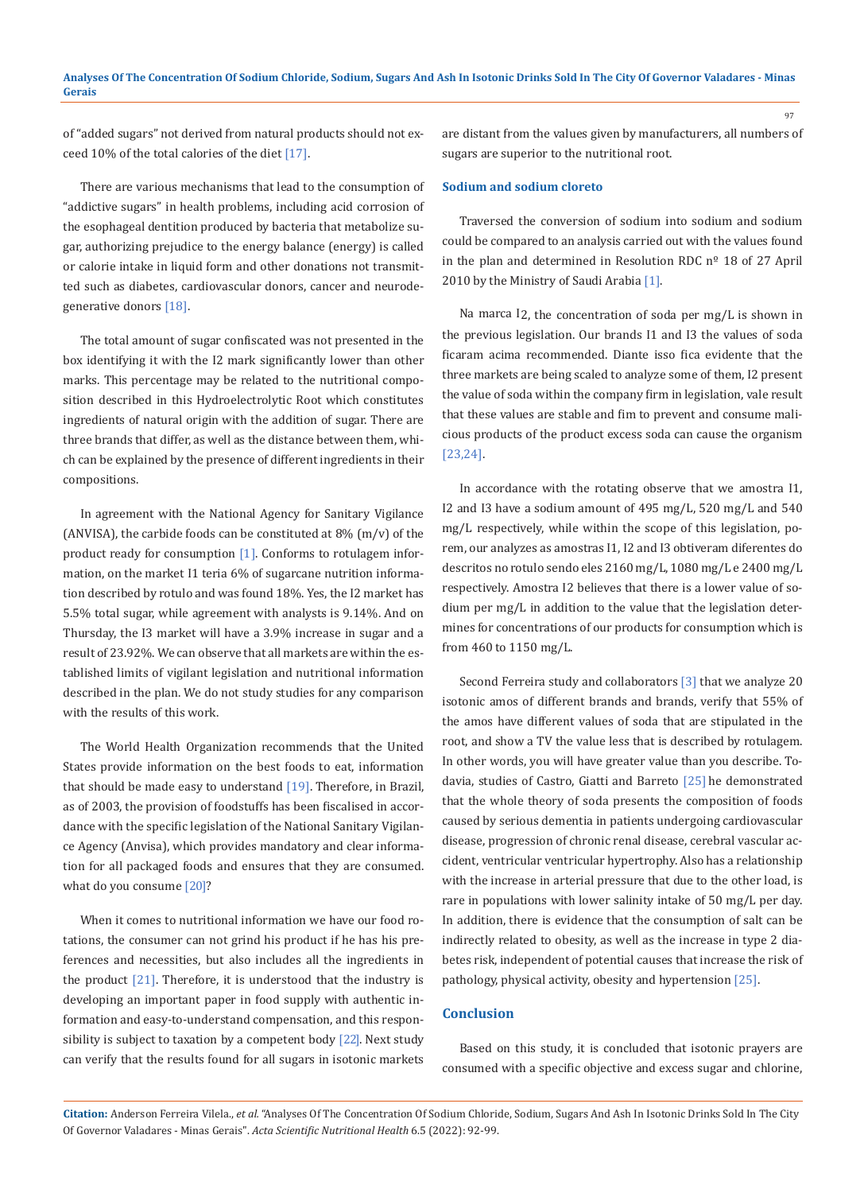of "added sugars" not derived from natural products should not exceed 10% of the total calories of the diet [17].

There are various mechanisms that lead to the consumption of "addictive sugars" in health problems, including acid corrosion of the esophageal dentition produced by bacteria that metabolize sugar, authorizing prejudice to the energy balance (energy) is called or calorie intake in liquid form and other donations not transmitted such as diabetes, cardiovascular donors, cancer and neurodegenerative donors [18].

The total amount of sugar confiscated was not presented in the box identifying it with the I2 mark significantly lower than other marks. This percentage may be related to the nutritional composition described in this Hydroelectrolytic Root which constitutes ingredients of natural origin with the addition of sugar. There are three brands that differ, as well as the distance between them, which can be explained by the presence of different ingredients in their compositions.

In agreement with the National Agency for Sanitary Vigilance (ANVISA), the carbide foods can be constituted at  $8\%$  (m/v) of the product ready for consumption [1]. Conforms to rotulagem information, on the market I1 teria 6% of sugarcane nutrition information described by rotulo and was found 18%. Yes, the I2 market has 5.5% total sugar, while agreement with analysts is 9.14%. And on Thursday, the I3 market will have a 3.9% increase in sugar and a result of 23.92%. We can observe that all markets are within the established limits of vigilant legislation and nutritional information described in the plan. We do not study studies for any comparison with the results of this work.

The World Health Organization recommends that the United States provide information on the best foods to eat, information that should be made easy to understand  $[19]$ . Therefore, in Brazil, as of 2003, the provision of foodstuffs has been fiscalised in accordance with the specific legislation of the National Sanitary Vigilance Agency (Anvisa), which provides mandatory and clear information for all packaged foods and ensures that they are consumed. what do you consume [20]?

When it comes to nutritional information we have our food rotations, the consumer can not grind his product if he has his preferences and necessities, but also includes all the ingredients in the product  $[21]$ . Therefore, it is understood that the industry is developing an important paper in food supply with authentic information and easy-to-understand compensation, and this responsibility is subject to taxation by a competent body [22]. Next study can verify that the results found for all sugars in isotonic markets are distant from the values given by manufacturers, all numbers of sugars are superior to the nutritional root.

97

# **Sodium and sodium cloreto**

Traversed the conversion of sodium into sodium and sodium could be compared to an analysis carried out with the values found in the plan and determined in Resolution RDC  $n^{\circ}$  18 of 27 April 2010 by the Ministry of Saudi Arabia [1].

Na marca I2, the concentration of soda per mg/L is shown in the previous legislation. Our brands I1 and I3 the values of soda ficaram acima recommended. Diante isso fica evidente that the three markets are being scaled to analyze some of them, I2 present the value of soda within the company firm in legislation, vale result that these values are stable and fim to prevent and consume malicious products of the product excess soda can cause the organism [23,24].

In accordance with the rotating observe that we amostra I1, I2 and I3 have a sodium amount of 495 mg/L, 520 mg/L and 540 mg/L respectively, while within the scope of this legislation, porem, our analyzes as amostras I1, I2 and I3 obtiveram diferentes do descritos no rotulo sendo eles 2160 mg/L, 1080 mg/L e 2400 mg/L respectively. Amostra I2 believes that there is a lower value of sodium per mg/L in addition to the value that the legislation determines for concentrations of our products for consumption which is from 460 to 1150 mg/L.

Second Ferreira study and collaborators [3] that we analyze 20 isotonic amos of different brands and brands, verify that 55% of the amos have different values of soda that are stipulated in the root, and show a TV the value less that is described by rotulagem. In other words, you will have greater value than you describe. Todavia, studies of Castro, Giatti and Barreto [25] he demonstrated that the whole theory of soda presents the composition of foods caused by serious dementia in patients undergoing cardiovascular disease, progression of chronic renal disease, cerebral vascular accident, ventricular ventricular hypertrophy. Also has a relationship with the increase in arterial pressure that due to the other load, is rare in populations with lower salinity intake of 50 mg/L per day. In addition, there is evidence that the consumption of salt can be indirectly related to obesity, as well as the increase in type 2 diabetes risk, independent of potential causes that increase the risk of pathology, physical activity, obesity and hypertension [25].

# **Conclusion**

Based on this study, it is concluded that isotonic prayers are consumed with a specific objective and excess sugar and chlorine,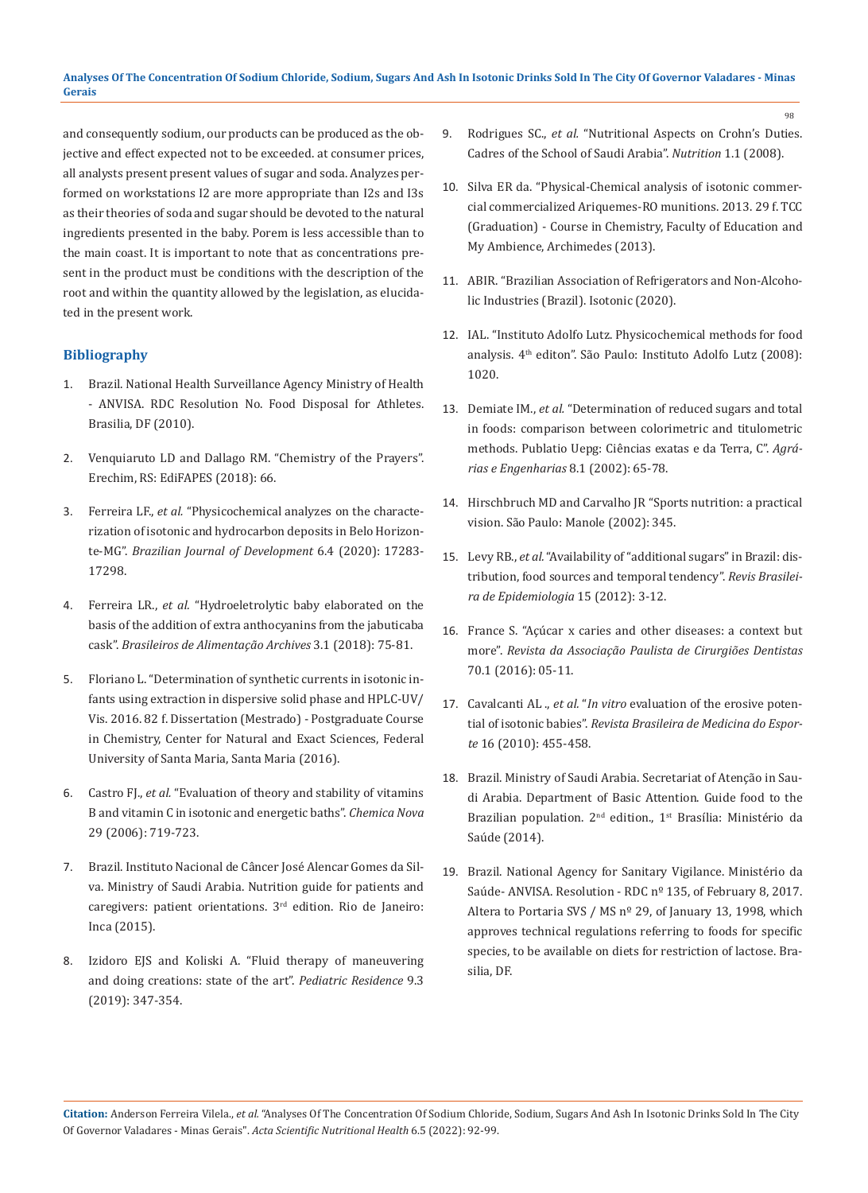and consequently sodium, our products can be produced as the objective and effect expected not to be exceeded. at consumer prices, all analysts present present values of sugar and soda. Analyzes performed on workstations I2 are more appropriate than I2s and I3s as their theories of soda and sugar should be devoted to the natural ingredients presented in the baby. Porem is less accessible than to the main coast. It is important to note that as concentrations present in the product must be conditions with the description of the root and within the quantity allowed by the legislation, as elucidated in the present work.

# **Bibliography**

- 1. [Brazil. National Health Surveillance Agency Ministry of Health](https://www.emergobyul.com/resources/anvisa-brazil-national-health-surveillance-agency)  [- ANVISA. RDC Resolution No. Food Disposal for Athletes.](https://www.emergobyul.com/resources/anvisa-brazil-national-health-surveillance-agency)  [Brasilia, DF \(2010\).](https://www.emergobyul.com/resources/anvisa-brazil-national-health-surveillance-agency)
- 2. Venquiaruto LD and Dallago RM. "Chemistry of the Prayers". Erechim, RS: EdiFAPES (2018): 66.
- 3. Ferreira LF., *et al.* "Physicochemical analyzes on the characterization of isotonic and hydrocarbon deposits in Belo Horizonte-MG". *Brazilian Journal of Development* 6.4 (2020): 17283- 17298.
- 4. Ferreira LR., *et al.* "Hydroeletrolytic baby elaborated on the basis of the addition of extra anthocyanins from the jabuticaba cask". *Brasileiros de Alimentação Archives* 3.1 (2018): 75-81.
- 5. Floriano L. "Determination of synthetic currents in isotonic infants using extraction in dispersive solid phase and HPLC-UV/ Vis. 2016. 82 f. Dissertation (Mestrado) - Postgraduate Course in Chemistry, Center for Natural and Exact Sciences, Federal University of Santa Maria, Santa Maria (2016).
- 6. Castro FJ., *et al.* "Evaluation of theory and stability of vitamins B and vitamin C in isotonic and energetic baths". *Chemica Nova* 29 (2006): 719-723.
- 7. Brazil. Instituto Nacional de Câncer José Alencar Gomes da Silva. Ministry of Saudi Arabia. Nutrition guide for patients and caregivers: patient orientations. 3rd edition. Rio de Janeiro: Inca (2015).
- 8. Izidoro EJS and Koliski A. "Fluid therapy of maneuvering and doing creations: state of the art". *Pediatric Residence* 9.3 (2019): 347-354.

9. Rodrigues SC., *et al.* "Nutritional Aspects on Crohn's Duties. Cadres of the School of Saudi Arabia". *Nutrition* 1.1 (2008).

98

- 10. Silva ER da. "Physical-Chemical analysis of isotonic commercial commercialized Ariquemes-RO munitions. 2013. 29 f. TCC (Graduation) - Course in Chemistry, Faculty of Education and My Ambience, Archimedes (2013).
- 11. ABIR. "Brazilian Association of Refrigerators and Non-Alcoholic Industries (Brazil). Isotonic (2020).
- 12. IAL. "Instituto Adolfo Lutz. Physicochemical methods for food analysis. 4th editon". São Paulo: Instituto Adolfo Lutz (2008): 1020.
- 13. Demiate IM., *et al.* "Determination of reduced sugars and total in foods: comparison between colorimetric and titulometric methods. Publatio Uepg: Ciências exatas e da Terra, C". *Agrárias e Engenharias* 8.1 (2002): 65-78.
- 14. Hirschbruch MD and Carvalho JR "Sports nutrition: a practical vision. São Paulo: Manole (2002): 345.
- 15. Levy RB., *et al.* "Availability of "additional sugars" in Brazil: distribution, food sources and temporal tendency". *Revis Brasileira de Epidemiologia* 15 (2012): 3-12.
- 16. France S. "Açúcar x caries and other diseases: a context but more". *Revista da Associação Paulista de Cirurgiões Dentistas* 70.1 (2016): 05-11.
- 17. Cavalcanti AL ., *et al.* "*In vitro* evaluation of the erosive potential of isotonic babies". *Revista Brasileira de Medicina do Esporte* 16 (2010): 455-458.
- 18. Brazil. Ministry of Saudi Arabia. Secretariat of Atenção in Saudi Arabia. Department of Basic Attention. Guide food to the Brazilian population. 2<sup>nd</sup> edition., 1<sup>st</sup> Brasília: Ministério da Saúde (2014).
- 19. Brazil. National Agency for Sanitary Vigilance. Ministério da Saúde- ANVISA. Resolution - RDC nº 135, of February 8, 2017. Altera to Portaria SVS / MS nº 29, of January 13, 1998, which approves technical regulations referring to foods for specific species, to be available on diets for restriction of lactose. Brasilia, DF.